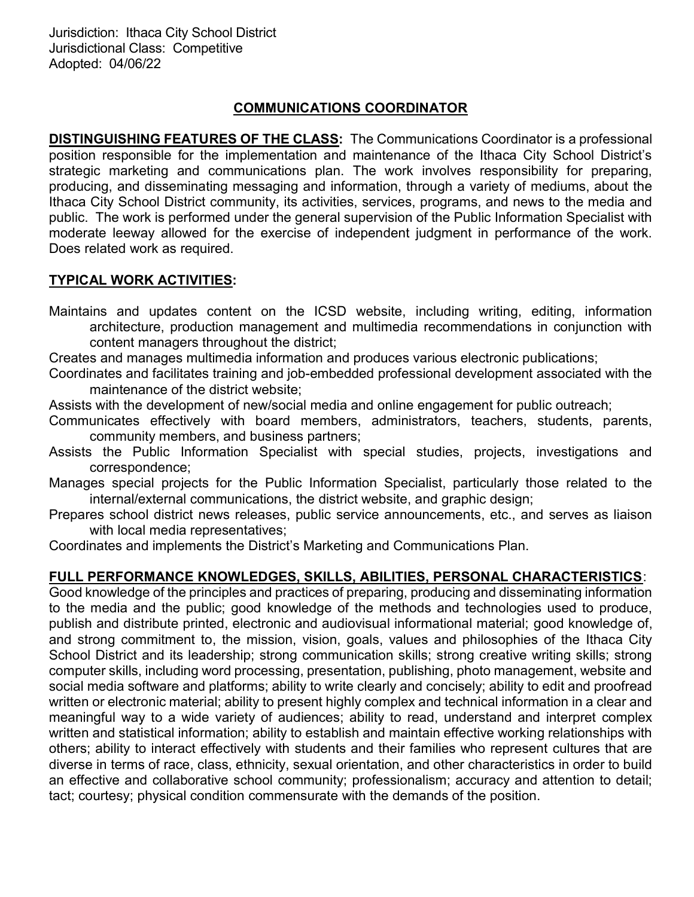## COMMUNICATIONS COORDINATOR

DISTINGUISHING FEATURES OF THE CLASS: The Communications Coordinator is a professional position responsible for the implementation and maintenance of the Ithaca City School District's strategic marketing and communications plan. The work involves responsibility for preparing, producing, and disseminating messaging and information, through a variety of mediums, about the Ithaca City School District community, its activities, services, programs, and news to the media and public. The work is performed under the general supervision of the Public Information Specialist with moderate leeway allowed for the exercise of independent judgment in performance of the work. Does related work as required.

## TYPICAL WORK ACTIVITIES:

Maintains and updates content on the ICSD website, including writing, editing, information architecture, production management and multimedia recommendations in conjunction with content managers throughout the district;

Creates and manages multimedia information and produces various electronic publications;

Coordinates and facilitates training and job-embedded professional development associated with the maintenance of the district website;

Assists with the development of new/social media and online engagement for public outreach;

Communicates effectively with board members, administrators, teachers, students, parents, community members, and business partners;

Assists the Public Information Specialist with special studies, projects, investigations and correspondence;

Manages special projects for the Public Information Specialist, particularly those related to the internal/external communications, the district website, and graphic design;

Prepares school district news releases, public service announcements, etc., and serves as liaison with local media representatives;

Coordinates and implements the District's Marketing and Communications Plan.

## FULL PERFORMANCE KNOWLEDGES, SKILLS, ABILITIES, PERSONAL CHARACTERISTICS:

Good knowledge of the principles and practices of preparing, producing and disseminating information to the media and the public; good knowledge of the methods and technologies used to produce, publish and distribute printed, electronic and audiovisual informational material; good knowledge of, and strong commitment to, the mission, vision, goals, values and philosophies of the Ithaca City School District and its leadership; strong communication skills; strong creative writing skills; strong computer skills, including word processing, presentation, publishing, photo management, website and social media software and platforms; ability to write clearly and concisely; ability to edit and proofread written or electronic material; ability to present highly complex and technical information in a clear and meaningful way to a wide variety of audiences; ability to read, understand and interpret complex written and statistical information; ability to establish and maintain effective working relationships with others; ability to interact effectively with students and their families who represent cultures that are diverse in terms of race, class, ethnicity, sexual orientation, and other characteristics in order to build an effective and collaborative school community; professionalism; accuracy and attention to detail; tact; courtesy; physical condition commensurate with the demands of the position.